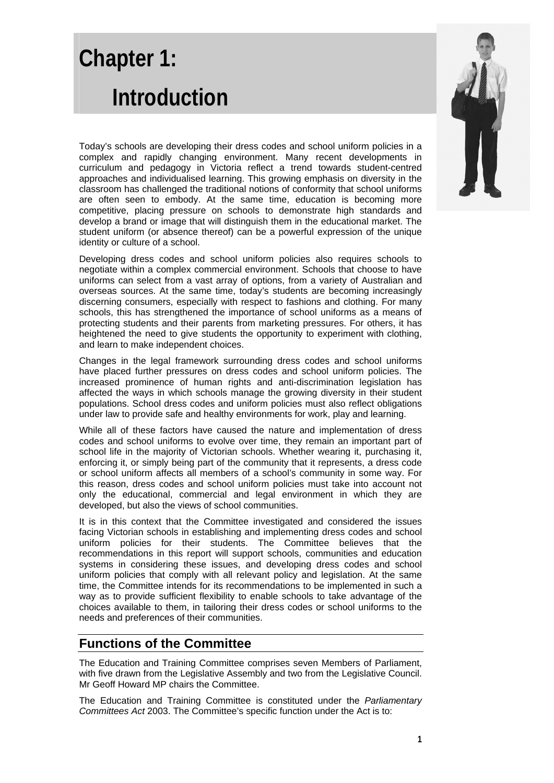# **Chapter 1: Introduction**

Today's schools are developing their dress codes and school uniform policies in a complex and rapidly changing environment. Many recent developments in curriculum and pedagogy in Victoria reflect a trend towards student-centred approaches and individualised learning. This growing emphasis on diversity in the classroom has challenged the traditional notions of conformity that school uniforms are often seen to embody. At the same time, education is becoming more competitive, placing pressure on schools to demonstrate high standards and develop a brand or image that will distinguish them in the educational market. The student uniform (or absence thereof) can be a powerful expression of the unique identity or culture of a school.

Developing dress codes and school uniform policies also requires schools to negotiate within a complex commercial environment. Schools that choose to have uniforms can select from a vast array of options, from a variety of Australian and overseas sources. At the same time, today's students are becoming increasingly discerning consumers, especially with respect to fashions and clothing. For many schools, this has strengthened the importance of school uniforms as a means of protecting students and their parents from marketing pressures. For others, it has heightened the need to give students the opportunity to experiment with clothing. and learn to make independent choices.

Changes in the legal framework surrounding dress codes and school uniforms have placed further pressures on dress codes and school uniform policies. The increased prominence of human rights and anti-discrimination legislation has affected the ways in which schools manage the growing diversity in their student populations. School dress codes and uniform policies must also reflect obligations under law to provide safe and healthy environments for work, play and learning.

While all of these factors have caused the nature and implementation of dress codes and school uniforms to evolve over time, they remain an important part of school life in the majority of Victorian schools. Whether wearing it, purchasing it, enforcing it, or simply being part of the community that it represents, a dress code or school uniform affects all members of a school's community in some way. For this reason, dress codes and school uniform policies must take into account not only the educational, commercial and legal environment in which they are developed, but also the views of school communities.

It is in this context that the Committee investigated and considered the issues facing Victorian schools in establishing and implementing dress codes and school uniform policies for their students. The Committee believes that the recommendations in this report will support schools, communities and education systems in considering these issues, and developing dress codes and school uniform policies that comply with all relevant policy and legislation. At the same time, the Committee intends for its recommendations to be implemented in such a way as to provide sufficient flexibility to enable schools to take advantage of the choices available to them, in tailoring their dress codes or school uniforms to the needs and preferences of their communities.

# **Functions of the Committee**

The Education and Training Committee comprises seven Members of Parliament, with five drawn from the Legislative Assembly and two from the Legislative Council. Mr Geoff Howard MP chairs the Committee.

The Education and Training Committee is constituted under the *Parliamentary Committees Act* 2003. The Committee's specific function under the Act is to:

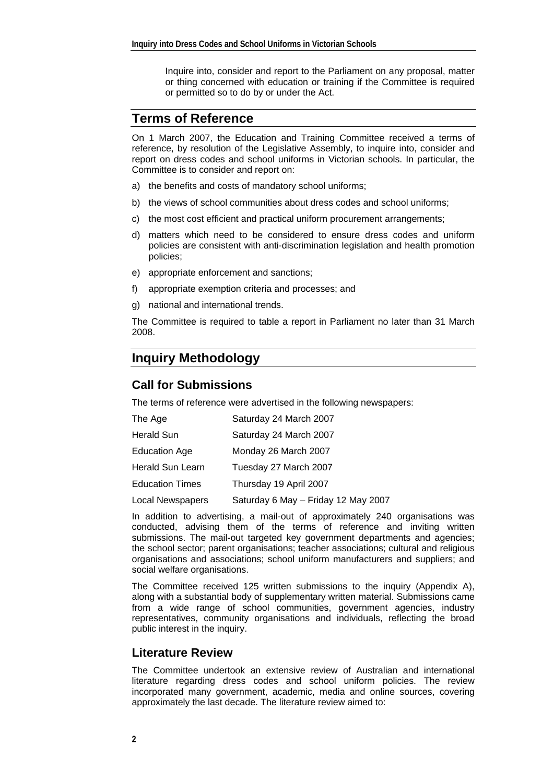Inquire into, consider and report to the Parliament on any proposal, matter or thing concerned with education or training if the Committee is required or permitted so to do by or under the Act.

# **Terms of Reference**

On 1 March 2007, the Education and Training Committee received a terms of reference, by resolution of the Legislative Assembly, to inquire into, consider and report on dress codes and school uniforms in Victorian schools. In particular, the Committee is to consider and report on:

- a) the benefits and costs of mandatory school uniforms;
- b) the views of school communities about dress codes and school uniforms;
- c) the most cost efficient and practical uniform procurement arrangements;
- d) matters which need to be considered to ensure dress codes and uniform policies are consistent with anti-discrimination legislation and health promotion policies;
- e) appropriate enforcement and sanctions;
- f) appropriate exemption criteria and processes; and
- g) national and international trends.

The Committee is required to table a report in Parliament no later than 31 March 2008.

# **Inquiry Methodology**

## **Call for Submissions**

The terms of reference were advertised in the following newspapers:

| The Age                 | Saturday 24 March 2007              |  |  |
|-------------------------|-------------------------------------|--|--|
| Herald Sun              | Saturday 24 March 2007              |  |  |
| <b>Education Age</b>    | Monday 26 March 2007                |  |  |
| Herald Sun Learn        | Tuesday 27 March 2007               |  |  |
| <b>Education Times</b>  | Thursday 19 April 2007              |  |  |
| <b>Local Newspapers</b> | Saturday 6 May - Friday 12 May 2007 |  |  |

In addition to advertising, a mail-out of approximately 240 organisations was conducted, advising them of the terms of reference and inviting written submissions. The mail-out targeted key government departments and agencies; the school sector; parent organisations; teacher associations; cultural and religious organisations and associations; school uniform manufacturers and suppliers; and social welfare organisations.

The Committee received 125 written submissions to the inquiry (Appendix A), along with a substantial body of supplementary written material. Submissions came from a wide range of school communities, government agencies, industry representatives, community organisations and individuals, reflecting the broad public interest in the inquiry.

#### **Literature Review**

The Committee undertook an extensive review of Australian and international literature regarding dress codes and school uniform policies. The review incorporated many government, academic, media and online sources, covering approximately the last decade. The literature review aimed to: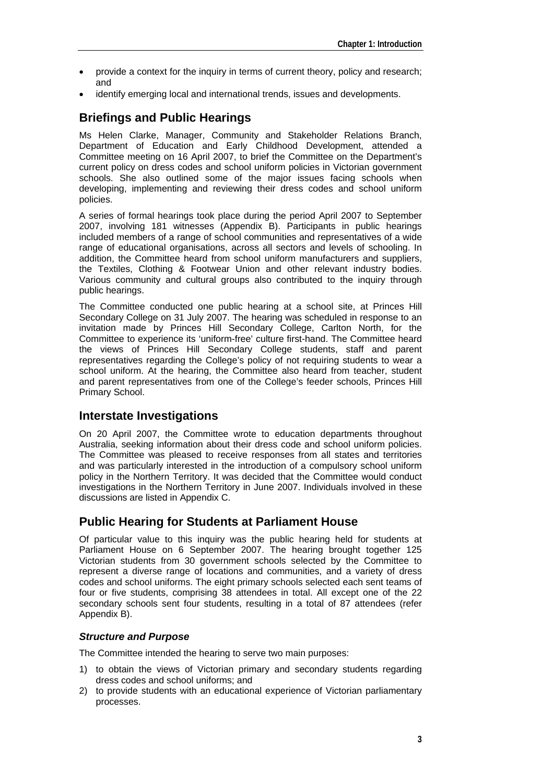- provide a context for the inquiry in terms of current theory, policy and research; and
- identify emerging local and international trends, issues and developments.

# **Briefings and Public Hearings**

Ms Helen Clarke, Manager, Community and Stakeholder Relations Branch, Department of Education and Early Childhood Development, attended a Committee meeting on 16 April 2007, to brief the Committee on the Department's current policy on dress codes and school uniform policies in Victorian government schools. She also outlined some of the major issues facing schools when developing, implementing and reviewing their dress codes and school uniform policies.

A series of formal hearings took place during the period April 2007 to September 2007, involving 181 witnesses (Appendix B). Participants in public hearings included members of a range of school communities and representatives of a wide range of educational organisations, across all sectors and levels of schooling. In addition, the Committee heard from school uniform manufacturers and suppliers, the Textiles, Clothing & Footwear Union and other relevant industry bodies. Various community and cultural groups also contributed to the inquiry through public hearings.

The Committee conducted one public hearing at a school site, at Princes Hill Secondary College on 31 July 2007. The hearing was scheduled in response to an invitation made by Princes Hill Secondary College, Carlton North, for the Committee to experience its 'uniform-free' culture first-hand. The Committee heard the views of Princes Hill Secondary College students, staff and parent representatives regarding the College's policy of not requiring students to wear a school uniform. At the hearing, the Committee also heard from teacher, student and parent representatives from one of the College's feeder schools, Princes Hill Primary School.

## **Interstate Investigations**

On 20 April 2007, the Committee wrote to education departments throughout Australia, seeking information about their dress code and school uniform policies. The Committee was pleased to receive responses from all states and territories and was particularly interested in the introduction of a compulsory school uniform policy in the Northern Territory. It was decided that the Committee would conduct investigations in the Northern Territory in June 2007. Individuals involved in these discussions are listed in Appendix C.

## **Public Hearing for Students at Parliament House**

Of particular value to this inquiry was the public hearing held for students at Parliament House on 6 September 2007. The hearing brought together 125 Victorian students from 30 government schools selected by the Committee to represent a diverse range of locations and communities, and a variety of dress codes and school uniforms. The eight primary schools selected each sent teams of four or five students, comprising 38 attendees in total. All except one of the 22 secondary schools sent four students, resulting in a total of 87 attendees (refer Appendix B).

#### *Structure and Purpose*

The Committee intended the hearing to serve two main purposes:

- 1) to obtain the views of Victorian primary and secondary students regarding dress codes and school uniforms; and
- 2) to provide students with an educational experience of Victorian parliamentary processes.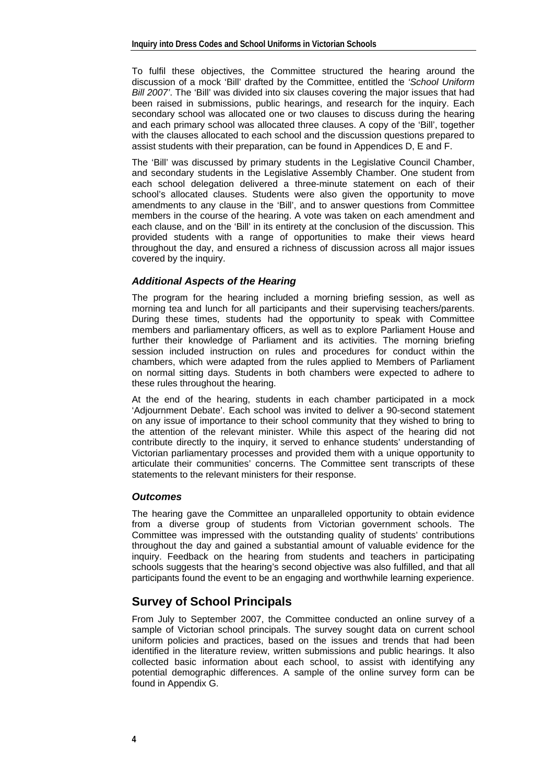To fulfil these objectives, the Committee structured the hearing around the discussion of a mock 'Bill' drafted by the Committee, entitled the *'School Uniform Bill 2007'*. The 'Bill' was divided into six clauses covering the major issues that had been raised in submissions, public hearings, and research for the inquiry. Each secondary school was allocated one or two clauses to discuss during the hearing and each primary school was allocated three clauses. A copy of the 'Bill', together with the clauses allocated to each school and the discussion questions prepared to assist students with their preparation, can be found in Appendices D, E and F.

The 'Bill' was discussed by primary students in the Legislative Council Chamber, and secondary students in the Legislative Assembly Chamber. One student from each school delegation delivered a three-minute statement on each of their school's allocated clauses. Students were also given the opportunity to move amendments to any clause in the 'Bill', and to answer questions from Committee members in the course of the hearing. A vote was taken on each amendment and each clause, and on the 'Bill' in its entirety at the conclusion of the discussion. This provided students with a range of opportunities to make their views heard throughout the day, and ensured a richness of discussion across all major issues covered by the inquiry.

#### *Additional Aspects of the Hearing*

The program for the hearing included a morning briefing session, as well as morning tea and lunch for all participants and their supervising teachers/parents. During these times, students had the opportunity to speak with Committee members and parliamentary officers, as well as to explore Parliament House and further their knowledge of Parliament and its activities. The morning briefing session included instruction on rules and procedures for conduct within the chambers, which were adapted from the rules applied to Members of Parliament on normal sitting days. Students in both chambers were expected to adhere to these rules throughout the hearing.

At the end of the hearing, students in each chamber participated in a mock 'Adjournment Debate'. Each school was invited to deliver a 90-second statement on any issue of importance to their school community that they wished to bring to the attention of the relevant minister. While this aspect of the hearing did not contribute directly to the inquiry, it served to enhance students' understanding of Victorian parliamentary processes and provided them with a unique opportunity to articulate their communities' concerns. The Committee sent transcripts of these statements to the relevant ministers for their response.

#### *Outcomes*

The hearing gave the Committee an unparalleled opportunity to obtain evidence from a diverse group of students from Victorian government schools. The Committee was impressed with the outstanding quality of students' contributions throughout the day and gained a substantial amount of valuable evidence for the inquiry. Feedback on the hearing from students and teachers in participating schools suggests that the hearing's second objective was also fulfilled, and that all participants found the event to be an engaging and worthwhile learning experience.

## **Survey of School Principals**

From July to September 2007, the Committee conducted an online survey of a sample of Victorian school principals. The survey sought data on current school uniform policies and practices, based on the issues and trends that had been identified in the literature review, written submissions and public hearings. It also collected basic information about each school, to assist with identifying any potential demographic differences. A sample of the online survey form can be found in Appendix G.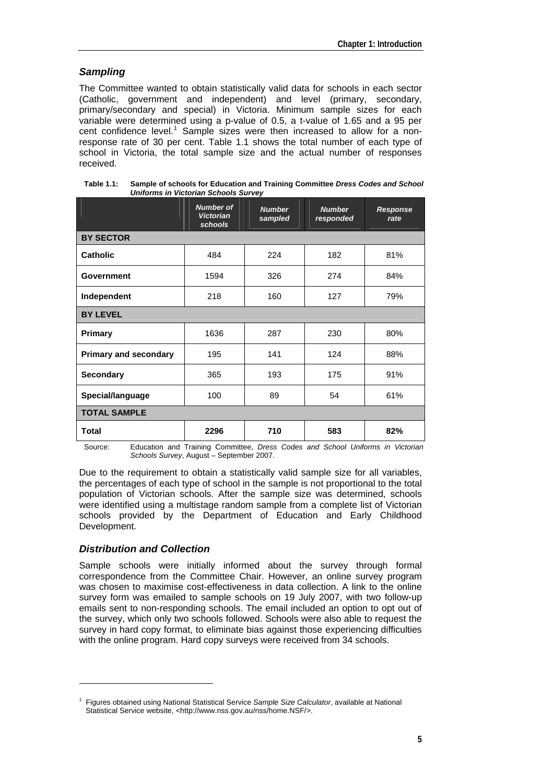#### *Sampling*

The Committee wanted to obtain statistically valid data for schools in each sector (Catholic, government and independent) and level (primary, secondary, primary/secondary and special) in Victoria. Minimum sample sizes for each variable were determined using a p-value of 0.5, a t-value of 1.65 and a 95 per cent confidence level.<sup>[1](#page-4-0)</sup> Sample sizes were then increased to allow for a nonresponse rate of 30 per cent. Table 1.1 shows the total number of each type of school in Victoria, the total sample size and the actual number of responses received.

|                              | <b>Number of</b><br><b>Victorian</b><br>schools | <b>Number</b><br>sampled | <b>Number</b><br>responded | Response<br>rate |  |
|------------------------------|-------------------------------------------------|--------------------------|----------------------------|------------------|--|
| <b>BY SECTOR</b>             |                                                 |                          |                            |                  |  |
| <b>Catholic</b>              | 484                                             | 224                      | 182                        | 81%              |  |
| <b>Government</b>            | 1594                                            | 326                      | 274                        | 84%              |  |
| Independent                  | 218                                             | 160                      | 127                        | 79%              |  |
| <b>BY LEVEL</b>              |                                                 |                          |                            |                  |  |
| Primary                      | 1636                                            | 287                      | 230                        | 80%              |  |
| <b>Primary and secondary</b> | 195                                             | 141                      | 124                        | 88%              |  |
| <b>Secondary</b>             | 365                                             | 193                      | 175                        | 91%              |  |
| Special/language             | 100                                             | 89                       | 54                         | 61%              |  |
| <b>TOTAL SAMPLE</b>          |                                                 |                          |                            |                  |  |
| <b>Total</b>                 | 2296                                            | 710                      | 583                        | 82%              |  |

**Table 1.1: Sample of schools for Education and Training Committee** *Dress Codes and School Uniforms in Victorian Schools Survey*

Source: Education and Training Committee, *Dress Codes and School Uniforms in Victorian Schools Survey*, August – September 2007.

Due to the requirement to obtain a statistically valid sample size for all variables, the percentages of each type of school in the sample is not proportional to the total population of Victorian schools. After the sample size was determined, schools were identified using a multistage random sample from a complete list of Victorian schools provided by the Department of Education and Early Childhood Development.

#### *Distribution and Collection*

-

Sample schools were initially informed about the survey through formal correspondence from the Committee Chair. However, an online survey program was chosen to maximise cost-effectiveness in data collection. A link to the online survey form was emailed to sample schools on 19 July 2007, with two follow-up emails sent to non-responding schools. The email included an option to opt out of the survey, which only two schools followed. Schools were also able to request the survey in hard copy format, to eliminate bias against those experiencing difficulties with the online program. Hard copy surveys were received from 34 schools.

<span id="page-4-0"></span><sup>1</sup> Figures obtained using National Statistical Service *Sample Size Calculator*, available at National Statistical Service website, <http://www.nss.gov.au/nss/home.NSF/>.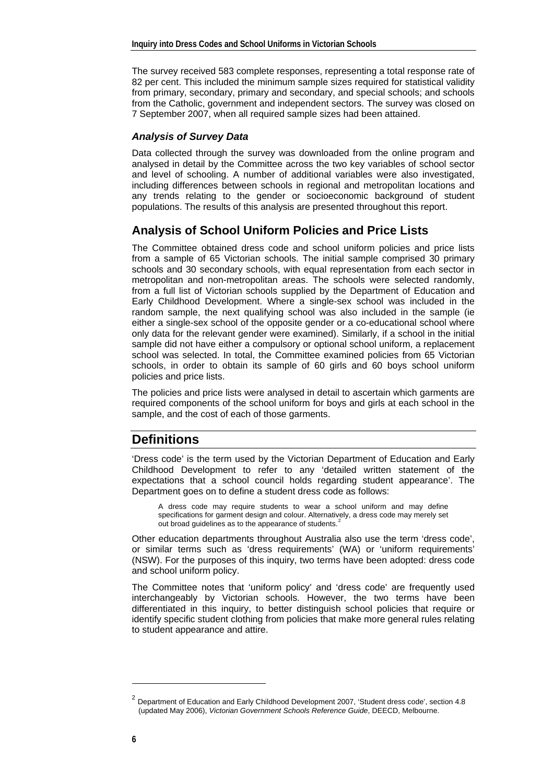The survey received 583 complete responses, representing a total response rate of 82 per cent. This included the minimum sample sizes required for statistical validity from primary, secondary, primary and secondary, and special schools; and schools from the Catholic, government and independent sectors. The survey was closed on 7 September 2007, when all required sample sizes had been attained.

#### *Analysis of Survey Data*

Data collected through the survey was downloaded from the online program and analysed in detail by the Committee across the two key variables of school sector and level of schooling. A number of additional variables were also investigated, including differences between schools in regional and metropolitan locations and any trends relating to the gender or socioeconomic background of student populations. The results of this analysis are presented throughout this report.

# **Analysis of School Uniform Policies and Price Lists**

The Committee obtained dress code and school uniform policies and price lists from a sample of 65 Victorian schools. The initial sample comprised 30 primary schools and 30 secondary schools, with equal representation from each sector in metropolitan and non-metropolitan areas. The schools were selected randomly, from a full list of Victorian schools supplied by the Department of Education and Early Childhood Development. Where a single-sex school was included in the random sample, the next qualifying school was also included in the sample (ie either a single-sex school of the opposite gender or a co-educational school where only data for the relevant gender were examined). Similarly, if a school in the initial sample did not have either a compulsory or optional school uniform, a replacement school was selected. In total, the Committee examined policies from 65 Victorian schools, in order to obtain its sample of 60 girls and 60 boys school uniform policies and price lists.

The policies and price lists were analysed in detail to ascertain which garments are required components of the school uniform for boys and girls at each school in the sample, and the cost of each of those garments.

# **Definitions**

'Dress code' is the term used by the Victorian Department of Education and Early Childhood Development to refer to any 'detailed written statement of the expectations that a school council holds regarding student appearance'. The Department goes on to define a student dress code as follows:

A dress code may require students to wear a school uniform and may define specifications for garment design and colour. Alternatively, a dress code may merely set out broad guidelines as to the appearance of students.<sup>[2](#page-5-0)</sup>

Other education departments throughout Australia also use the term 'dress code', or similar terms such as 'dress requirements' (WA) or 'uniform requirements' (NSW). For the purposes of this inquiry, two terms have been adopted: dress code and school uniform policy.

The Committee notes that 'uniform policy' and 'dress code' are frequently used interchangeably by Victorian schools. However, the two terms have been differentiated in this inquiry, to better distinguish school policies that require or identify specific student clothing from policies that make more general rules relating to student appearance and attire.

-

<span id="page-5-0"></span><sup>&</sup>lt;sup>2</sup> Department of Education and Early Childhood Development 2007, 'Student dress code', section 4.8 (updated May 2006), *Victorian Government Schools Reference Guide*, DEECD, Melbourne.